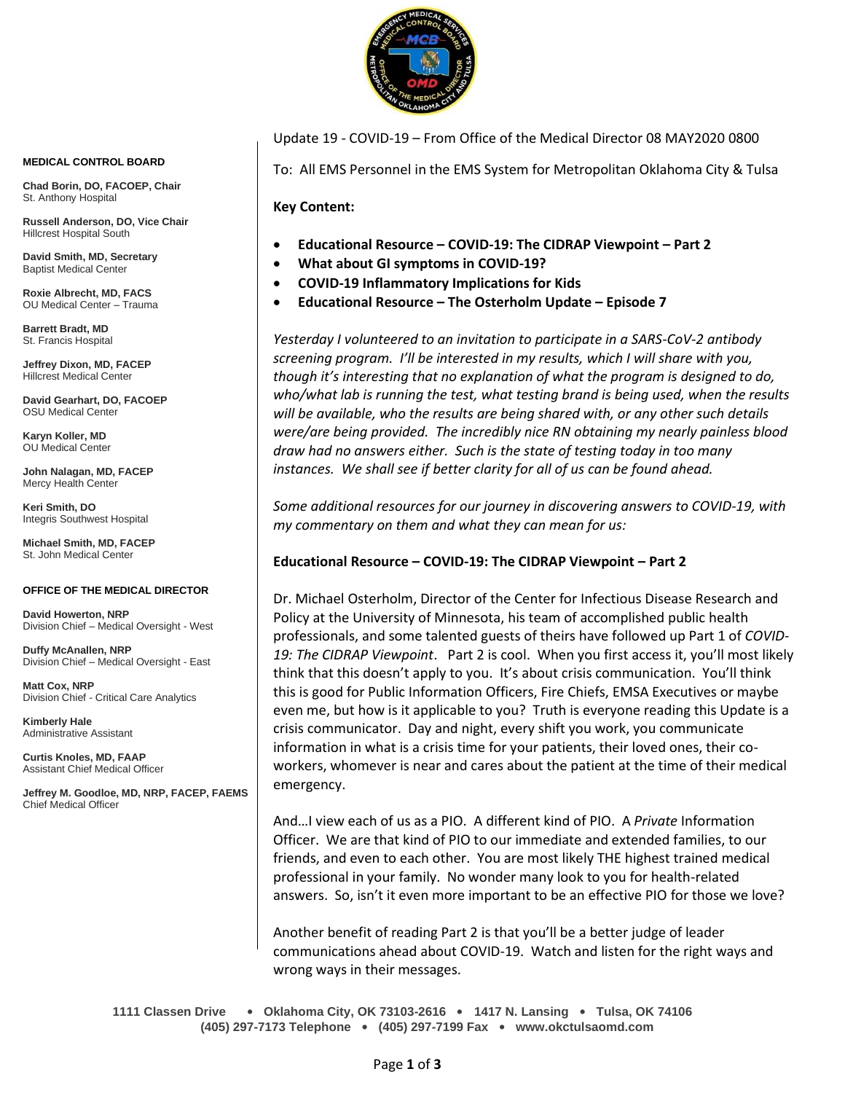

**MEDICAL CONTROL BOARD**

**Chad Borin, DO, FACOEP, Chair**  St. Anthony Hospital

**Russell Anderson, DO, Vice Chair** Hillcrest Hospital South

**David Smith, MD, Secretary** Baptist Medical Center

**Roxie Albrecht, MD, FACS** OU Medical Center – Trauma

**Barrett Bradt, MD** St. Francis Hospital

**Jeffrey Dixon, MD, FACEP** Hillcrest Medical Center

**David Gearhart, DO, FACOEP** OSU Medical Center

**Karyn Koller, MD** OU Medical Center

**John Nalagan, MD, FACEP** Mercy Health Center

**Keri Smith, DO** Integris Southwest Hospital

**Michael Smith, MD, FACEP** St. John Medical Center

#### **OFFICE OF THE MEDICAL DIRECTOR**

**David Howerton, NRP** Division Chief – Medical Oversight - West

**Duffy McAnallen, NRP** Division Chief – Medical Oversight - East

**Matt Cox, NRP** Division Chief - Critical Care Analytics

**Kimberly Hale** Administrative Assistant

**Curtis Knoles, MD, FAAP** Assistant Chief Medical Officer

**Jeffrey M. Goodloe, MD, NRP, FACEP, FAEMS** Chief Medical Officer

Update 19 - COVID-19 – From Office of the Medical Director 08 MAY2020 0800

To: All EMS Personnel in the EMS System for Metropolitan Oklahoma City & Tulsa

**Key Content:**

- **Educational Resource – COVID-19: The CIDRAP Viewpoint – Part 2**
- **What about GI symptoms in COVID-19?**
- **COVID-19 Inflammatory Implications for Kids**
- **Educational Resource – The Osterholm Update – Episode 7**

*Yesterday I volunteered to an invitation to participate in a SARS-CoV-2 antibody screening program. I'll be interested in my results, which I will share with you, though it's interesting that no explanation of what the program is designed to do, who/what lab is running the test, what testing brand is being used, when the results will be available, who the results are being shared with, or any other such details were/are being provided. The incredibly nice RN obtaining my nearly painless blood draw had no answers either. Such is the state of testing today in too many instances. We shall see if better clarity for all of us can be found ahead.*

*Some additional resources for our journey in discovering answers to COVID-19, with my commentary on them and what they can mean for us:*

### **Educational Resource – COVID-19: The CIDRAP Viewpoint – Part 2**

Dr. Michael Osterholm, Director of the Center for Infectious Disease Research and Policy at the University of Minnesota, his team of accomplished public health professionals, and some talented guests of theirs have followed up Part 1 of *COVID-19: The CIDRAP Viewpoint*. Part 2 is cool. When you first access it, you'll most likely think that this doesn't apply to you. It's about crisis communication. You'll think this is good for Public Information Officers, Fire Chiefs, EMSA Executives or maybe even me, but how is it applicable to you? Truth is everyone reading this Update is a crisis communicator. Day and night, every shift you work, you communicate information in what is a crisis time for your patients, their loved ones, their coworkers, whomever is near and cares about the patient at the time of their medical emergency.

And…I view each of us as a PIO. A different kind of PIO. A *Private* Information Officer. We are that kind of PIO to our immediate and extended families, to our friends, and even to each other. You are most likely THE highest trained medical professional in your family. No wonder many look to you for health-related answers. So, isn't it even more important to be an effective PIO for those we love?

Another benefit of reading Part 2 is that you'll be a better judge of leader communications ahead about COVID-19. Watch and listen for the right ways and wrong ways in their messages.

**1111 Classen Drive** • **Oklahoma City, OK 73103-2616** • **1417 N. Lansing** • **Tulsa, OK 74106 (405) 297-7173 Telephone** • **(405) 297-7199 Fax** • **www.okctulsaomd.com**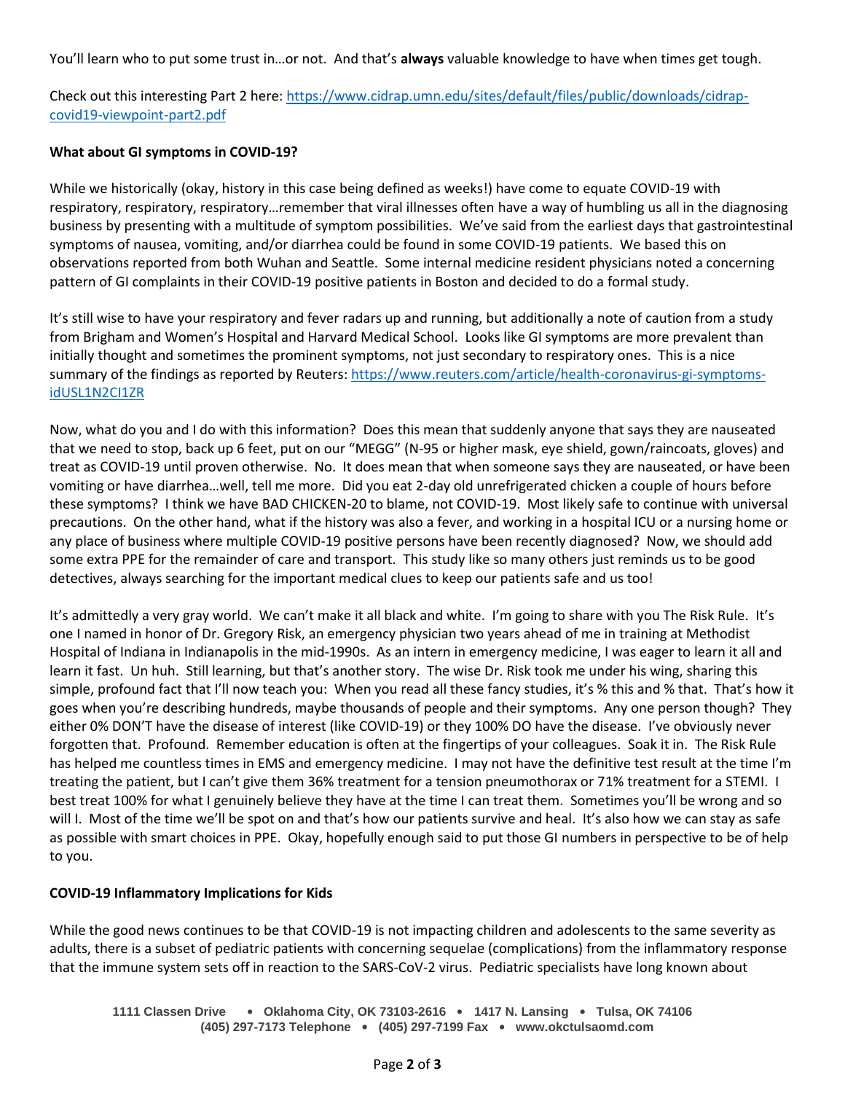You'll learn who to put some trust in…or not. And that's **always** valuable knowledge to have when times get tough.

Check out this interesting Part 2 here: [https://www.cidrap.umn.edu/sites/default/files/public/downloads/cidrap](https://www.cidrap.umn.edu/sites/default/files/public/downloads/cidrap-covid19-viewpoint-part2.pdf)[covid19-viewpoint-part2.pdf](https://www.cidrap.umn.edu/sites/default/files/public/downloads/cidrap-covid19-viewpoint-part2.pdf)

# **What about GI symptoms in COVID-19?**

While we historically (okay, history in this case being defined as weeks!) have come to equate COVID-19 with respiratory, respiratory, respiratory…remember that viral illnesses often have a way of humbling us all in the diagnosing business by presenting with a multitude of symptom possibilities. We've said from the earliest days that gastrointestinal symptoms of nausea, vomiting, and/or diarrhea could be found in some COVID-19 patients. We based this on observations reported from both Wuhan and Seattle. Some internal medicine resident physicians noted a concerning pattern of GI complaints in their COVID-19 positive patients in Boston and decided to do a formal study.

It's still wise to have your respiratory and fever radars up and running, but additionally a note of caution from a study from Brigham and Women's Hospital and Harvard Medical School. Looks like GI symptoms are more prevalent than initially thought and sometimes the prominent symptoms, not just secondary to respiratory ones. This is a nice summary of the findings as reported by Reuters[: https://www.reuters.com/article/health-coronavirus-gi-symptoms](https://www.reuters.com/article/health-coronavirus-gi-symptoms-idUSL1N2CI1ZR)[idUSL1N2CI1ZR](https://www.reuters.com/article/health-coronavirus-gi-symptoms-idUSL1N2CI1ZR)

Now, what do you and I do with this information? Does this mean that suddenly anyone that says they are nauseated that we need to stop, back up 6 feet, put on our "MEGG" (N-95 or higher mask, eye shield, gown/raincoats, gloves) and treat as COVID-19 until proven otherwise. No. It does mean that when someone says they are nauseated, or have been vomiting or have diarrhea…well, tell me more. Did you eat 2-day old unrefrigerated chicken a couple of hours before these symptoms? I think we have BAD CHICKEN-20 to blame, not COVID-19. Most likely safe to continue with universal precautions. On the other hand, what if the history was also a fever, and working in a hospital ICU or a nursing home or any place of business where multiple COVID-19 positive persons have been recently diagnosed? Now, we should add some extra PPE for the remainder of care and transport. This study like so many others just reminds us to be good detectives, always searching for the important medical clues to keep our patients safe and us too!

It's admittedly a very gray world. We can't make it all black and white. I'm going to share with you The Risk Rule. It's one I named in honor of Dr. Gregory Risk, an emergency physician two years ahead of me in training at Methodist Hospital of Indiana in Indianapolis in the mid-1990s. As an intern in emergency medicine, I was eager to learn it all and learn it fast. Un huh. Still learning, but that's another story. The wise Dr. Risk took me under his wing, sharing this simple, profound fact that I'll now teach you: When you read all these fancy studies, it's % this and % that. That's how it goes when you're describing hundreds, maybe thousands of people and their symptoms. Any one person though? They either 0% DON'T have the disease of interest (like COVID-19) or they 100% DO have the disease. I've obviously never forgotten that. Profound. Remember education is often at the fingertips of your colleagues. Soak it in. The Risk Rule has helped me countless times in EMS and emergency medicine. I may not have the definitive test result at the time I'm treating the patient, but I can't give them 36% treatment for a tension pneumothorax or 71% treatment for a STEMI. I best treat 100% for what I genuinely believe they have at the time I can treat them. Sometimes you'll be wrong and so will I. Most of the time we'll be spot on and that's how our patients survive and heal. It's also how we can stay as safe as possible with smart choices in PPE. Okay, hopefully enough said to put those GI numbers in perspective to be of help to you.

# **COVID-19 Inflammatory Implications for Kids**

While the good news continues to be that COVID-19 is not impacting children and adolescents to the same severity as adults, there is a subset of pediatric patients with concerning sequelae (complications) from the inflammatory response that the immune system sets off in reaction to the SARS-CoV-2 virus. Pediatric specialists have long known about